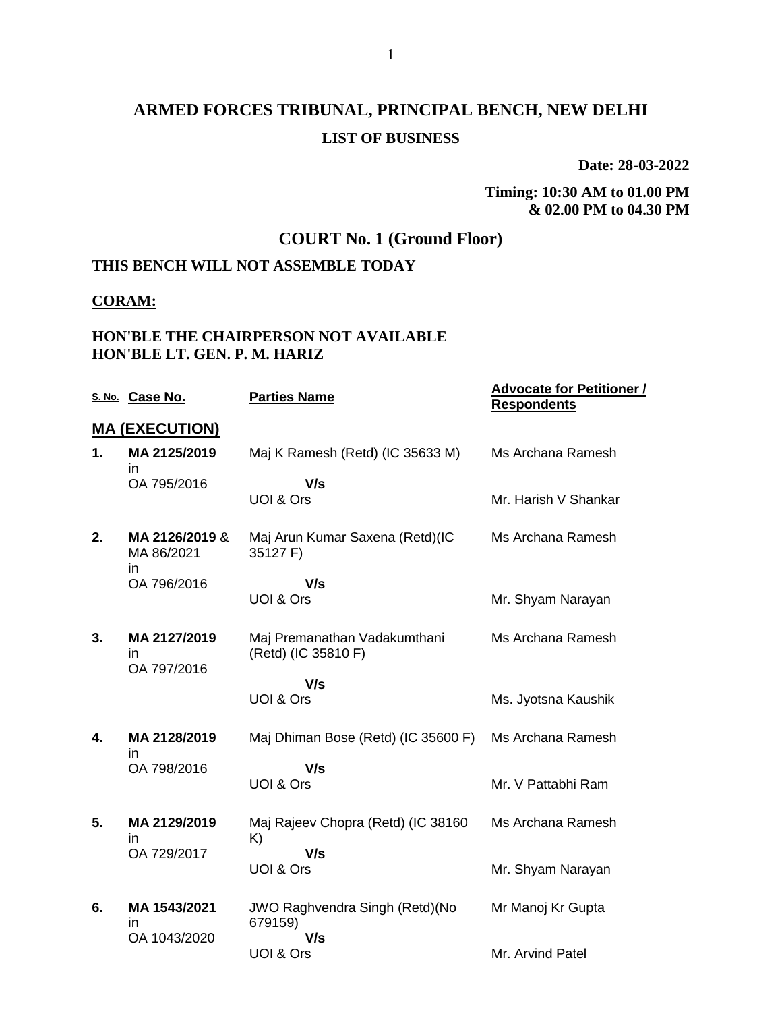# **ARMED FORCES TRIBUNAL, PRINCIPAL BENCH, NEW DELHI LIST OF BUSINESS**

**Date: 28-03-2022**

# **Timing: 10:30 AM to 01.00 PM & 02.00 PM to 04.30 PM**

## **COURT No. 1 (Ground Floor)**

### **THIS BENCH WILL NOT ASSEMBLE TODAY**

#### **CORAM:**

### **HON'BLE THE CHAIRPERSON NOT AVAILABLE HON'BLE LT. GEN. P. M. HARIZ**

|    | S. No. Case No.                   | <b>Parties Name</b>                                 | <b>Advocate for Petitioner /</b><br><b>Respondents</b> |
|----|-----------------------------------|-----------------------------------------------------|--------------------------------------------------------|
|    | <b>MA (EXECUTION)</b>             |                                                     |                                                        |
| 1. | MA 2125/2019<br>in.               | Maj K Ramesh (Retd) (IC 35633 M)                    | Ms Archana Ramesh                                      |
|    | OA 795/2016                       | V/s<br>UOI & Ors                                    | Mr. Harish V Shankar                                   |
| 2. | MA 2126/2019 &<br>MA 86/2021      | Maj Arun Kumar Saxena (Retd)(IC<br>35127 F)         | Ms Archana Ramesh                                      |
|    | in.<br>OA 796/2016                | V/s<br>UOI & Ors                                    | Mr. Shyam Narayan                                      |
| 3. | MA 2127/2019<br>in<br>OA 797/2016 | Maj Premanathan Vadakumthani<br>(Retd) (IC 35810 F) | Ms Archana Ramesh                                      |
|    |                                   | V/s<br>UOI & Ors                                    | Ms. Jyotsna Kaushik                                    |
| 4. | MA 2128/2019<br>in.               | Maj Dhiman Bose (Retd) (IC 35600 F)                 | Ms Archana Ramesh                                      |
|    | OA 798/2016                       | V/s<br>UOI & Ors                                    | Mr. V Pattabhi Ram                                     |
| 5. | MA 2129/2019<br>ın                | Maj Rajeev Chopra (Retd) (IC 38160<br>K)            | Ms Archana Ramesh                                      |
|    | OA 729/2017                       | V/s<br>UOI & Ors                                    | Mr. Shyam Narayan                                      |
| 6. | MA 1543/2021<br>in.               | JWO Raghvendra Singh (Retd)(No<br>679159)           | Mr Manoj Kr Gupta                                      |
|    | OA 1043/2020                      | V/s<br>UOI & Ors                                    | Mr. Arvind Patel                                       |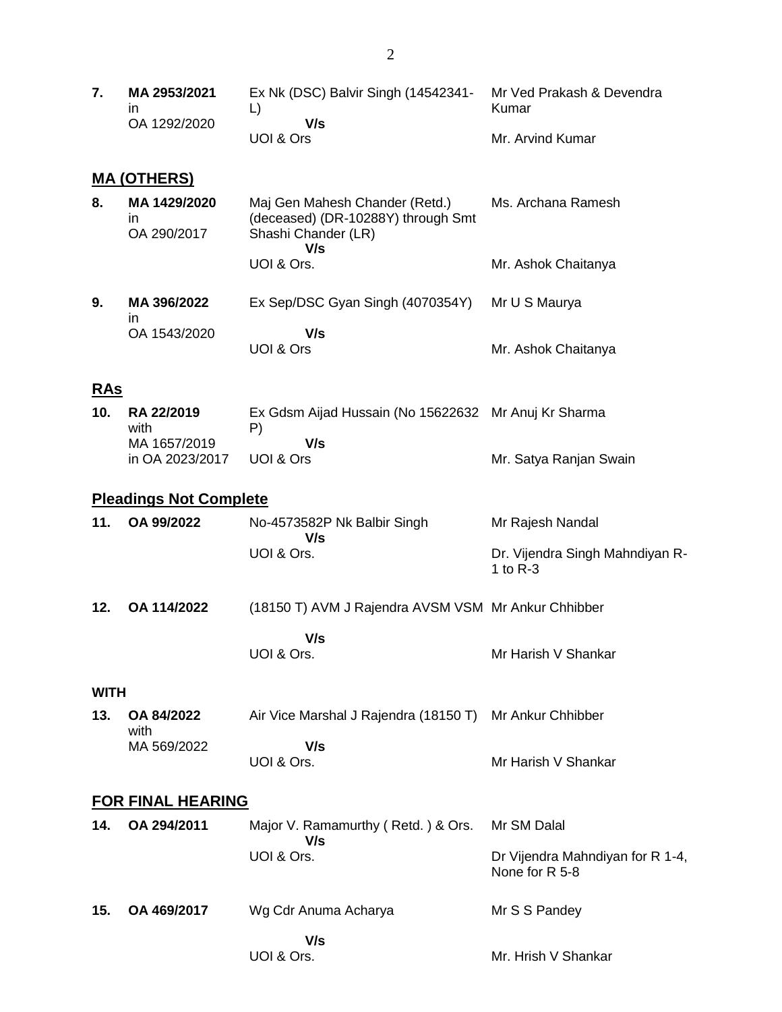**7. MA 2953/2021** in OA 1292/2020 Ex Nk (DSC) Balvir Singh (14542341- Mr Ved Prakash & Devendra L)  **V/s** UOI & Ors Kumar Mr. Arvind Kumar

# **MA (OTHERS)**

| 8. | MA 1429/2020<br>ın<br>OA 290/2017 | Maj Gen Mahesh Chander (Retd.)<br>(deceased) (DR-10288Y) through Smt<br>Shashi Chander (LR)<br>V/s | Ms. Archana Ramesh  |
|----|-----------------------------------|----------------------------------------------------------------------------------------------------|---------------------|
|    |                                   | UOI & Ors.                                                                                         | Mr. Ashok Chaitanya |
| 9. | MA 396/2022<br>in                 | Ex Sep/DSC Gyan Singh (4070354Y)                                                                   | Mr U S Maurya       |
|    | OA 1543/2020                      | V/s<br>UOI & Ors                                                                                   | Mr. Ashok Chaitanya |

### **RAs**

| 10. RA 22/2019  | Ex Gdsm Aijad Hussain (No 15622632 Mr Anuj Kr Sharma |                        |
|-----------------|------------------------------------------------------|------------------------|
| with            | P١                                                   |                        |
| MA 1657/2019    | V/s                                                  |                        |
| in OA 2023/2017 | UOL& Ors                                             | Mr. Satya Ranjan Swain |

### **Pleadings Not Complete**

| 11. | OA 99/2022  | No-4573582P Nk Balbir Singh<br>V/s                  | Mr Rajesh Nandal                                |
|-----|-------------|-----------------------------------------------------|-------------------------------------------------|
|     |             | UOI & Ors.                                          | Dr. Vijendra Singh Mahndiyan R-<br>1 to $R - 3$ |
| 12. | OA 114/2022 | (18150 T) AVM J Rajendra AVSM VSM Mr Ankur Chhibber |                                                 |

Mr Harish V Shankar

|            | V/s |
|------------|-----|
| UOI & Ors. |     |

#### **WITH**

| 13. OA 84/2022<br>with | Air Vice Marshal J Rajendra (18150 T) Mr Ankur Chhibber |                     |
|------------------------|---------------------------------------------------------|---------------------|
| MA 569/2022            | V/s                                                     |                     |
|                        | UOI & Ors.                                              | Mr Harish V Shankar |

### **FOR FINAL HEARING**

| 14. | OA 294/2011 | Major V. Ramamurthy (Retd.) & Ors. Mr SM Dalal<br>V/s |                                                    |
|-----|-------------|-------------------------------------------------------|----------------------------------------------------|
|     |             | UOI & Ors.                                            | Dr Vijendra Mahndiyan for R 1-4,<br>None for R 5-8 |
| 15. | OA 469/2017 | Wg Cdr Anuma Acharya                                  | Mr S S Pandey                                      |
|     |             | V/s<br>UOI & Ors.                                     | Mr. Hrish V Shankar                                |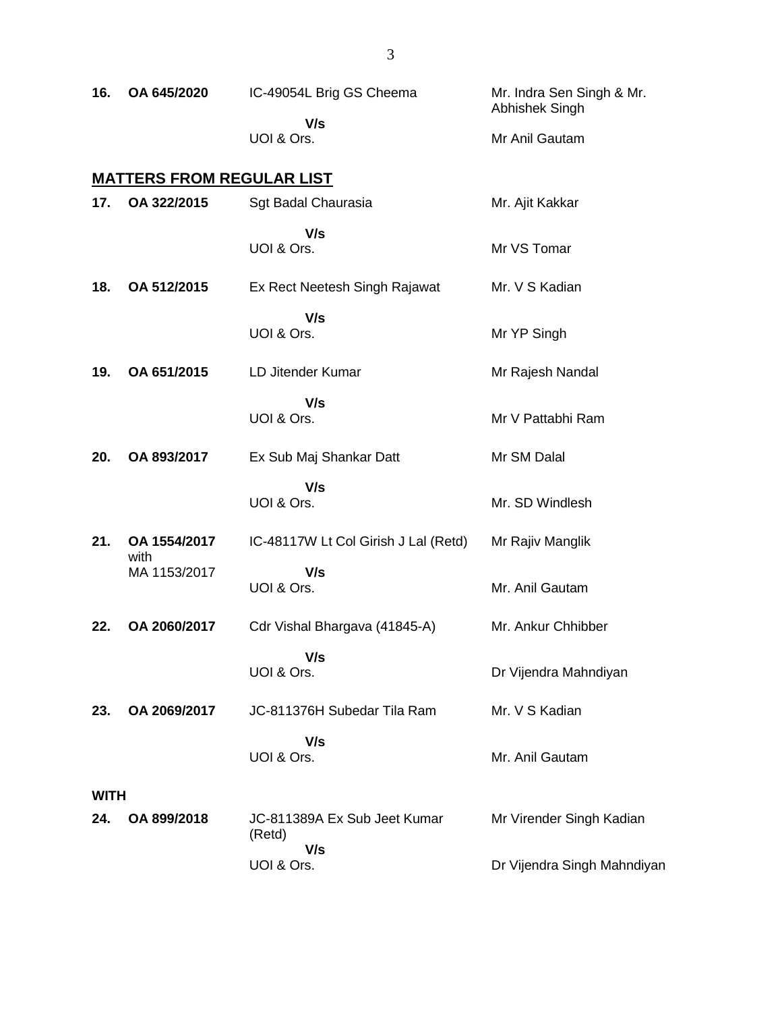| 16.         | OA 645/2020                      | IC-49054L Brig GS Cheema<br>V/s               | Mr. Indra Sen Singh & Mr.<br>Abhishek Singh |
|-------------|----------------------------------|-----------------------------------------------|---------------------------------------------|
|             |                                  | UOI & Ors.                                    | Mr Anil Gautam                              |
|             | <u>MATTERS FROM REGULAR LIST</u> |                                               |                                             |
| 17.         | OA 322/2015                      | Sgt Badal Chaurasia                           | Mr. Ajit Kakkar                             |
|             |                                  | V/s<br>UOI & Ors.                             | Mr VS Tomar                                 |
| 18.         | OA 512/2015                      | Ex Rect Neetesh Singh Rajawat                 | Mr. V S Kadian                              |
|             |                                  | V/s<br>UOI & Ors.                             | Mr YP Singh                                 |
| 19.         | OA 651/2015                      | LD Jitender Kumar                             | Mr Rajesh Nandal                            |
|             |                                  | V/s<br>UOI & Ors.                             | Mr V Pattabhi Ram                           |
| 20.         | OA 893/2017                      | Ex Sub Maj Shankar Datt                       | Mr SM Dalal                                 |
|             |                                  | V/s<br>UOI & Ors.                             | Mr. SD Windlesh                             |
| 21.         | OA 1554/2017<br>with             | IC-48117W Lt Col Girish J Lal (Retd)          | Mr Rajiv Manglik                            |
|             | MA 1153/2017                     | V/s<br>UOI & Ors.                             | Mr. Anil Gautam                             |
| 22.         | OA 2060/2017                     | Cdr Vishal Bhargava (41845-A)                 | Mr. Ankur Chhibber                          |
|             |                                  | V/s<br>UOI & Ors.                             | Dr Vijendra Mahndiyan                       |
| 23.         | OA 2069/2017                     | JC-811376H Subedar Tila Ram                   | Mr. V S Kadian                              |
|             |                                  | V/s<br>UOI & Ors.                             | Mr. Anil Gautam                             |
| <b>WITH</b> |                                  |                                               |                                             |
| 24.         | OA 899/2018                      | JC-811389A Ex Sub Jeet Kumar<br>(Retd)<br>V/s | Mr Virender Singh Kadian                    |
|             |                                  | UOI & Ors.                                    | Dr Vijendra Singh Mahndiyan                 |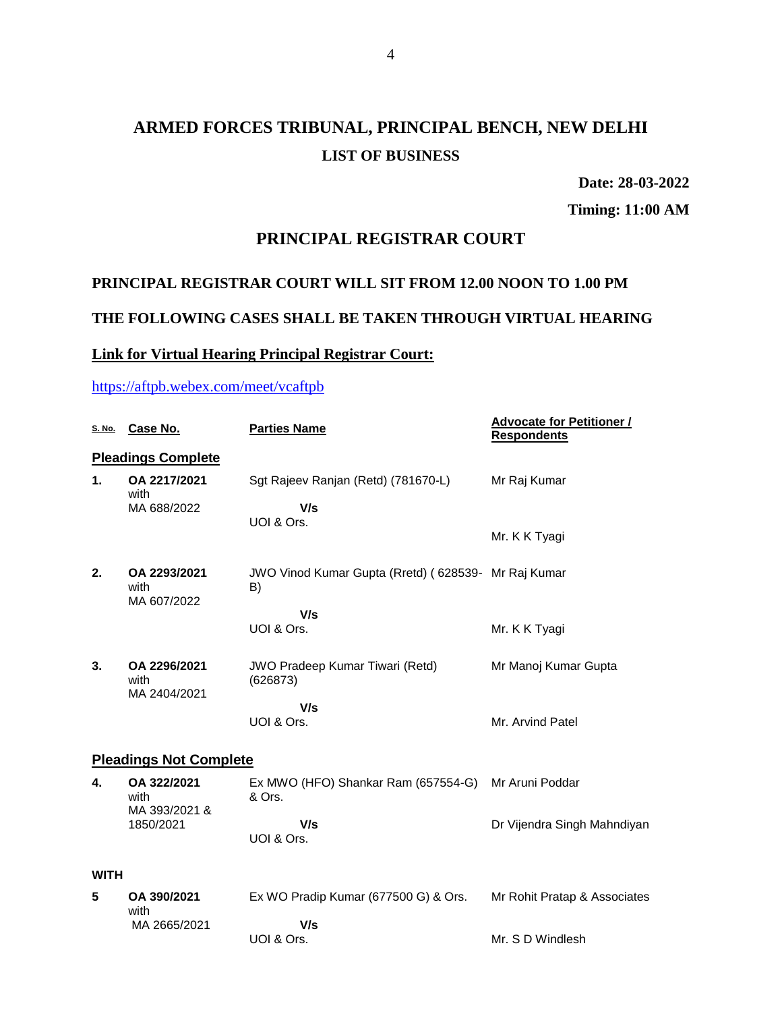# **ARMED FORCES TRIBUNAL, PRINCIPAL BENCH, NEW DELHI LIST OF BUSINESS**

**Date: 28-03-2022**

**Timing: 11:00 AM**

### **PRINCIPAL REGISTRAR COURT**

### **PRINCIPAL REGISTRAR COURT WILL SIT FROM 12.00 NOON TO 1.00 PM**

### **THE FOLLOWING CASES SHALL BE TAKEN THROUGH VIRTUAL HEARING**

# **Link for Virtual Hearing Principal Registrar Court:**

### <https://aftpb.webex.com/meet/vcaftpb>

| S. No.         | Case No.                             | <b>Parties Name</b>                                       | <b>Advocate for Petitioner /</b><br><b>Respondents</b> |
|----------------|--------------------------------------|-----------------------------------------------------------|--------------------------------------------------------|
|                | <b>Pleadings Complete</b>            |                                                           |                                                        |
| $\mathbf{1}$ . | OA 2217/2021<br>with                 | Sgt Rajeev Ranjan (Retd) (781670-L)                       | Mr Raj Kumar                                           |
|                | MA 688/2022                          | V/s<br>UOI & Ors.                                         |                                                        |
|                |                                      |                                                           | Mr. K K Tyagi                                          |
| 2.             | OA 2293/2021<br>with<br>MA 607/2022  | JWO Vinod Kumar Gupta (Rretd) (628539- Mr Raj Kumar<br>B) |                                                        |
|                |                                      | V/s                                                       |                                                        |
|                |                                      | UOI & Ors.                                                | Mr. K K Tyagi                                          |
| 3.             | OA 2296/2021<br>with<br>MA 2404/2021 | <b>JWO Pradeep Kumar Tiwari (Retd)</b><br>(626873)        | Mr Manoj Kumar Gupta                                   |
|                |                                      | V/s                                                       |                                                        |
|                |                                      | UOI & Ors.                                                | Mr. Arvind Patel                                       |
|                | <b>Pleadings Not Complete</b>        |                                                           |                                                        |
| 4.             | OA 322/2021<br>with<br>MA 393/2021 & | Ex MWO (HFO) Shankar Ram (657554-G)<br>& Ors.             | Mr Aruni Poddar                                        |
|                | 1850/2021                            | V/s<br>UOI & Ors.                                         | Dr Vijendra Singh Mahndiyan                            |
| <b>WITH</b>    |                                      |                                                           |                                                        |
| 5              | OA 390/2021<br>with                  | Ex WO Pradip Kumar (677500 G) & Ors.                      | Mr Rohit Pratap & Associates                           |
|                | MA 2665/2021                         | V/s<br>UOI & Ors.                                         | Mr. S D Windlesh                                       |
|                |                                      |                                                           |                                                        |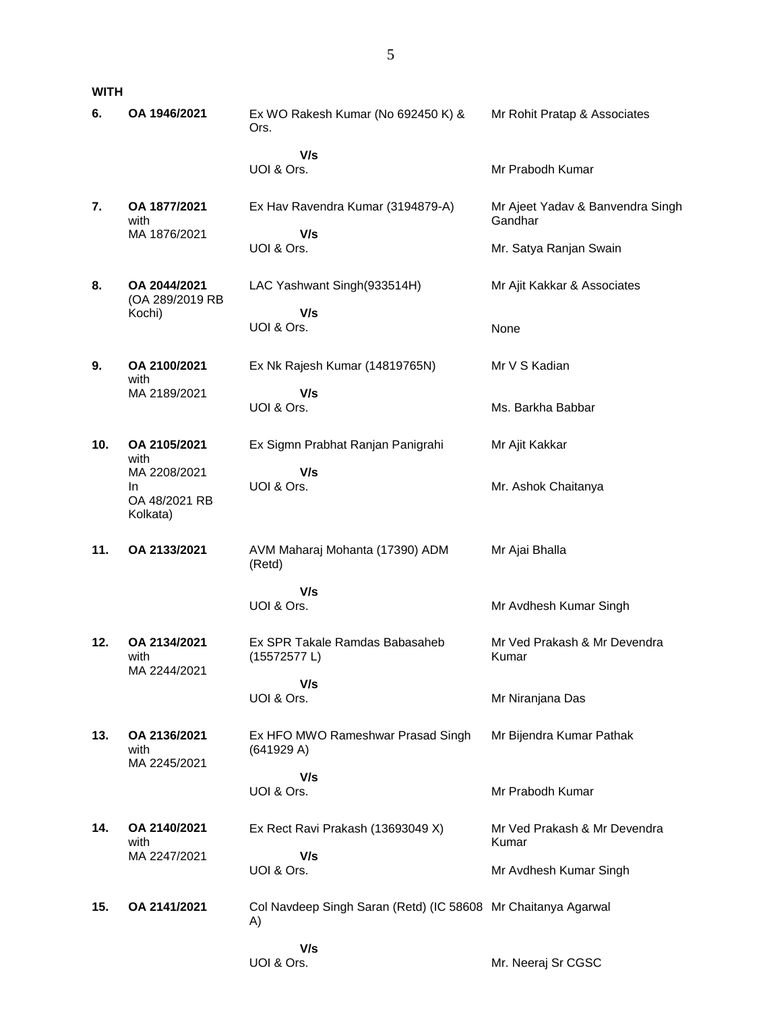**WITH**

| 6.  | OA 1946/2021                                    | Ex WO Rakesh Kumar (No 692450 K) &<br>Ors.                          | Mr Rohit Pratap & Associates                |
|-----|-------------------------------------------------|---------------------------------------------------------------------|---------------------------------------------|
|     |                                                 | V/s<br>UOI & Ors.                                                   | Mr Prabodh Kumar                            |
| 7.  | OA 1877/2021<br>with                            | Ex Hav Ravendra Kumar (3194879-A)                                   | Mr Ajeet Yadav & Banvendra Singh<br>Gandhar |
|     | MA 1876/2021                                    | V/s<br>UOI & Ors.                                                   | Mr. Satya Ranjan Swain                      |
| 8.  | OA 2044/2021<br>(OA 289/2019 RB                 | LAC Yashwant Singh(933514H)                                         | Mr Ajit Kakkar & Associates                 |
|     | Kochi)                                          | V/s<br>UOI & Ors.                                                   | None                                        |
| 9.  | OA 2100/2021<br>with                            | Ex Nk Rajesh Kumar (14819765N)                                      | Mr V S Kadian                               |
|     | MA 2189/2021                                    | V/s<br>UOI & Ors.                                                   | Ms. Barkha Babbar                           |
| 10. | OA 2105/2021<br>with                            | Ex Sigmn Prabhat Ranjan Panigrahi                                   | Mr Ajit Kakkar                              |
|     | MA 2208/2021<br>In<br>OA 48/2021 RB<br>Kolkata) | V/s<br>UOI & Ors.                                                   | Mr. Ashok Chaitanya                         |
| 11. | OA 2133/2021                                    | AVM Maharaj Mohanta (17390) ADM<br>(Retd)                           | Mr Ajai Bhalla                              |
|     |                                                 | V/s<br>UOI & Ors.                                                   | Mr Avdhesh Kumar Singh                      |
| 12. | OA 2134/2021<br>with<br>MA 2244/2021            | Ex SPR Takale Ramdas Babasaheb<br>(15572577L)                       | Mr Ved Prakash & Mr Devendra<br>Kumar       |
|     |                                                 | V/s<br>UOI & Ors.                                                   | Mr Niranjana Das                            |
| 13. | OA 2136/2021<br>with<br>MA 2245/2021            | Ex HFO MWO Rameshwar Prasad Singh<br>(641929 A)                     | Mr Bijendra Kumar Pathak                    |
|     |                                                 | V/s<br>UOI & Ors.                                                   | Mr Prabodh Kumar                            |
| 14. | OA 2140/2021<br>with                            | Ex Rect Ravi Prakash (13693049 X)                                   | Mr Ved Prakash & Mr Devendra<br>Kumar       |
|     | MA 2247/2021                                    | V/s<br>UOI & Ors.                                                   | Mr Avdhesh Kumar Singh                      |
| 15. | OA 2141/2021                                    | Col Navdeep Singh Saran (Retd) (IC 58608 Mr Chaitanya Agarwal<br>A) |                                             |
|     |                                                 | V/s<br>UOI & Ors.                                                   | Mr. Neeraj Sr CGSC                          |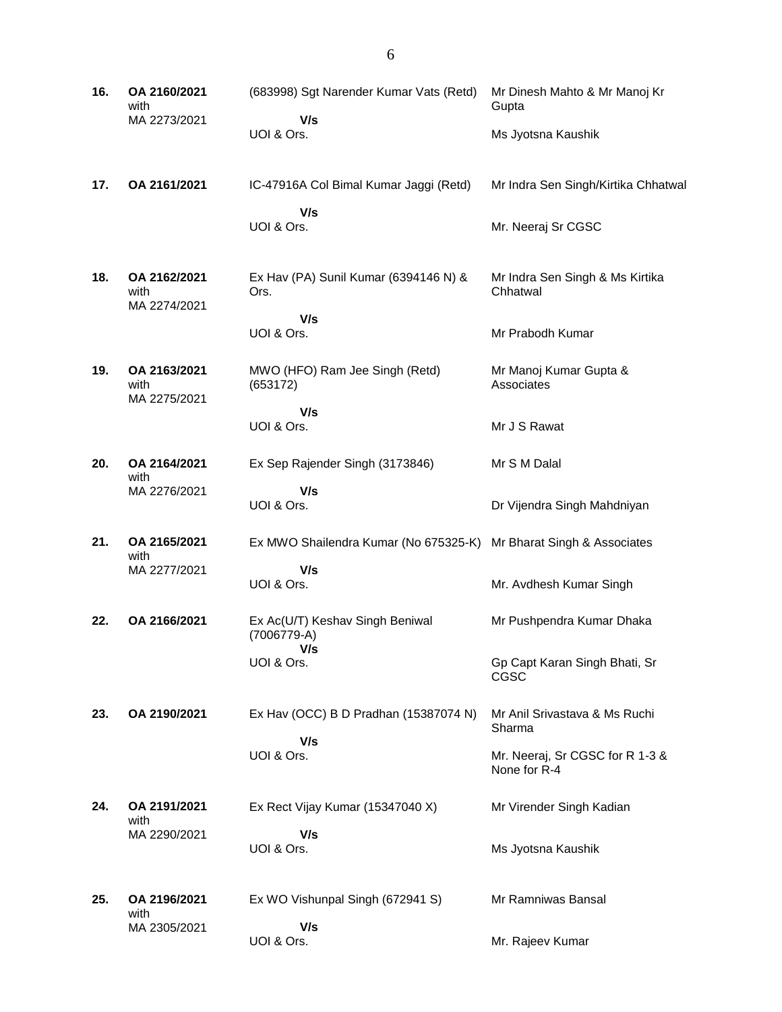| 16. | OA 2160/2021<br>with                 | (683998) Sgt Narender Kumar Vats (Retd)               | Mr Dinesh Mahto & Mr Manoj Kr<br>Gupta          |
|-----|--------------------------------------|-------------------------------------------------------|-------------------------------------------------|
|     | MA 2273/2021                         | V/s<br>UOI & Ors.                                     | Ms Jyotsna Kaushik                              |
| 17. | OA 2161/2021                         | IC-47916A Col Bimal Kumar Jaggi (Retd)                | Mr Indra Sen Singh/Kirtika Chhatwal             |
|     |                                      | V/s<br>UOI & Ors.                                     | Mr. Neeraj Sr CGSC                              |
| 18. | OA 2162/2021<br>with<br>MA 2274/2021 | Ex Hav (PA) Sunil Kumar (6394146 N) &<br>Ors.         | Mr Indra Sen Singh & Ms Kirtika<br>Chhatwal     |
|     |                                      | V/s<br>UOI & Ors.                                     | Mr Prabodh Kumar                                |
| 19. | OA 2163/2021<br>with<br>MA 2275/2021 | MWO (HFO) Ram Jee Singh (Retd)<br>(653172)            | Mr Manoj Kumar Gupta &<br>Associates            |
|     |                                      | V/s<br>UOI & Ors.                                     | Mr J S Rawat                                    |
| 20. | OA 2164/2021<br>with                 | Ex Sep Rajender Singh (3173846)                       | Mr S M Dalal                                    |
|     | MA 2276/2021                         | V/s<br>UOI & Ors.                                     | Dr Vijendra Singh Mahdniyan                     |
| 21. | OA 2165/2021<br>with                 | Ex MWO Shailendra Kumar (No 675325-K)                 | Mr Bharat Singh & Associates                    |
|     | MA 2277/2021                         | V/s<br>UOI & Ors.                                     | Mr. Avdhesh Kumar Singh                         |
| 22. | OA 2166/2021                         | Ex Ac(U/T) Keshav Singh Beniwal<br>(7006779-A)<br>V/s | Mr Pushpendra Kumar Dhaka                       |
|     |                                      | UOI & Ors.                                            | Gp Capt Karan Singh Bhati, Sr<br>CGSC           |
| 23. | OA 2190/2021                         | Ex Hav (OCC) B D Pradhan (15387074 N)                 | Mr Anil Srivastava & Ms Ruchi<br>Sharma         |
|     |                                      | V/s<br>UOI & Ors.                                     | Mr. Neeraj, Sr CGSC for R 1-3 &<br>None for R-4 |
| 24. | OA 2191/2021<br>with                 | Ex Rect Vijay Kumar (15347040 X)                      | Mr Virender Singh Kadian                        |
|     | MA 2290/2021                         | V/s<br>UOI & Ors.                                     | Ms Jyotsna Kaushik                              |
| 25. | OA 2196/2021<br>with                 | Ex WO Vishunpal Singh (672941 S)                      | Mr Ramniwas Bansal                              |
|     | MA 2305/2021                         | V/s<br>UOI & Ors.                                     | Mr. Rajeev Kumar                                |

6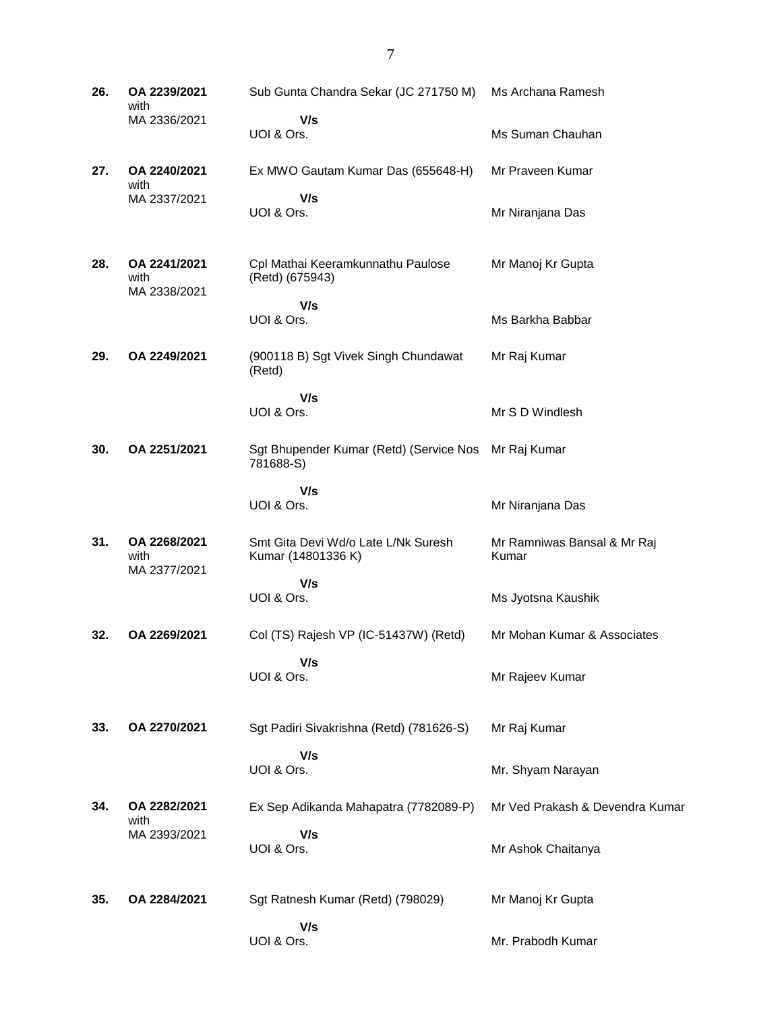| 26. | OA 2239/2021<br>with                 | Sub Gunta Chandra Sekar (JC 271750 M)                     | Ms Archana Ramesh                    |
|-----|--------------------------------------|-----------------------------------------------------------|--------------------------------------|
|     | MA 2336/2021                         | V/s<br>UOI & Ors.                                         | Ms Suman Chauhan                     |
| 27. | OA 2240/2021                         | Ex MWO Gautam Kumar Das (655648-H)                        | Mr Praveen Kumar                     |
|     | with<br>MA 2337/2021                 | V/s<br>UOI & Ors.                                         | Mr Niranjana Das                     |
| 28. | OA 2241/2021<br>with<br>MA 2338/2021 | Cpl Mathai Keeramkunnathu Paulose<br>(Retd) (675943)      | Mr Manoj Kr Gupta                    |
|     |                                      | V/s<br>UOI & Ors.                                         | Ms Barkha Babbar                     |
| 29. | OA 2249/2021                         | (900118 B) Sgt Vivek Singh Chundawat<br>(Retd)            | Mr Raj Kumar                         |
|     |                                      | V/s<br>UOI & Ors.                                         | Mr S D Windlesh                      |
| 30. | OA 2251/2021                         | Sgt Bhupender Kumar (Retd) (Service Nos<br>781688-S)      | Mr Raj Kumar                         |
|     |                                      | V/s<br>UOI & Ors.                                         | Mr Niranjana Das                     |
| 31. | OA 2268/2021<br>with                 | Smt Gita Devi Wd/o Late L/Nk Suresh<br>Kumar (14801336 K) | Mr Ramniwas Bansal & Mr Raj<br>Kumar |
|     | MA 2377/2021                         | V/s<br>UOI & Ors.                                         | Ms Jyotsna Kaushik                   |
| 32. | OA 2269/2021                         | Col (TS) Rajesh VP (IC-51437W) (Retd)                     | Mr Mohan Kumar & Associates          |
|     |                                      | V/s<br>UOI & Ors.                                         | Mr Rajeev Kumar                      |
| 33. | OA 2270/2021                         | Sgt Padiri Sivakrishna (Retd) (781626-S)                  | Mr Raj Kumar                         |
|     |                                      | V/s<br>UOI & Ors.                                         | Mr. Shyam Narayan                    |
| 34. | OA 2282/2021<br>with                 | Ex Sep Adikanda Mahapatra (7782089-P)                     | Mr Ved Prakash & Devendra Kumar      |
|     | MA 2393/2021                         | V/s<br>UOI & Ors.                                         | Mr Ashok Chaitanya                   |
| 35. | OA 2284/2021                         | Sgt Ratnesh Kumar (Retd) (798029)                         | Mr Manoj Kr Gupta                    |
|     |                                      | V/s<br>UOI & Ors.                                         | Mr. Prabodh Kumar                    |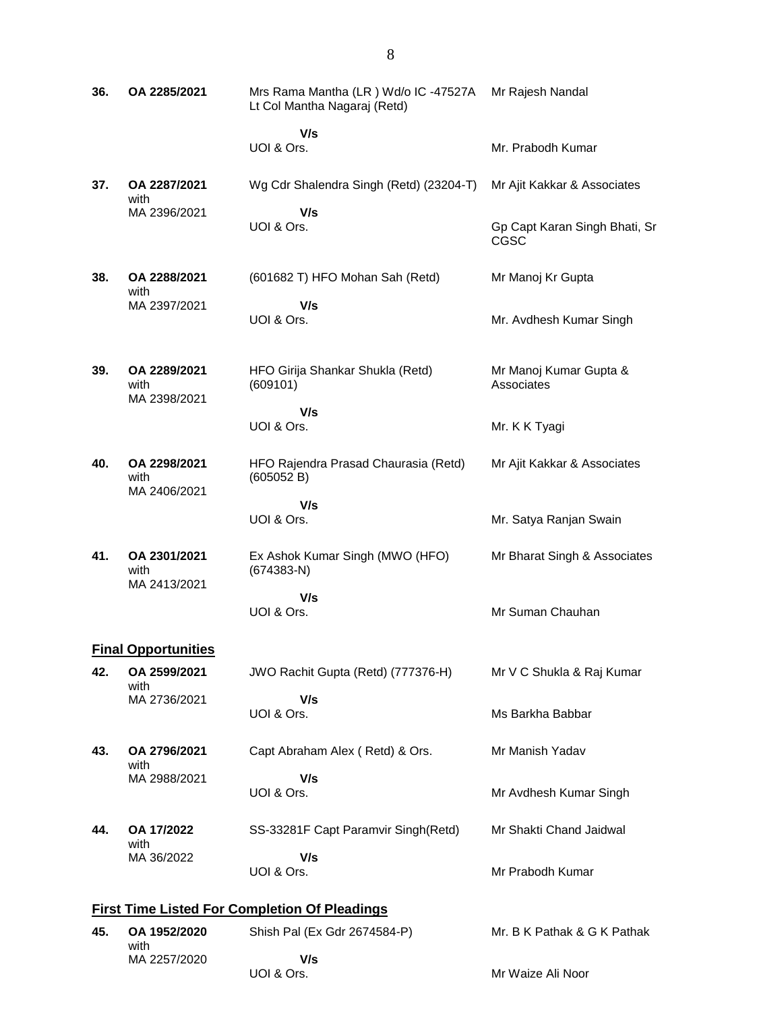| 36.                                                  | OA 2285/2021                         | Mrs Rama Mantha (LR) Wd/o IC -47527A<br>Lt Col Mantha Nagaraj (Retd) | Mr Rajesh Nandal                      |  |
|------------------------------------------------------|--------------------------------------|----------------------------------------------------------------------|---------------------------------------|--|
|                                                      |                                      | V/s<br>UOI & Ors.                                                    | Mr. Prabodh Kumar                     |  |
| 37.                                                  | OA 2287/2021<br>with                 | Wg Cdr Shalendra Singh (Retd) (23204-T)                              | Mr Ajit Kakkar & Associates           |  |
|                                                      | MA 2396/2021                         | V/s<br>UOI & Ors.                                                    | Gp Capt Karan Singh Bhati, Sr<br>CGSC |  |
| 38.                                                  | OA 2288/2021<br>with                 | (601682 T) HFO Mohan Sah (Retd)                                      | Mr Manoj Kr Gupta                     |  |
|                                                      | MA 2397/2021                         | V/s<br>UOI & Ors.                                                    | Mr. Avdhesh Kumar Singh               |  |
| 39.                                                  | OA 2289/2021<br>with<br>MA 2398/2021 | HFO Girija Shankar Shukla (Retd)<br>(609101)                         | Mr Manoj Kumar Gupta &<br>Associates  |  |
|                                                      |                                      | V/s<br>UOI & Ors.                                                    | Mr. K K Tyagi                         |  |
|                                                      |                                      |                                                                      |                                       |  |
| 40.                                                  | OA 2298/2021<br>with<br>MA 2406/2021 | HFO Rajendra Prasad Chaurasia (Retd)<br>(605052 B)                   | Mr Ajit Kakkar & Associates           |  |
|                                                      |                                      | V/s<br>UOI & Ors.                                                    | Mr. Satya Ranjan Swain                |  |
|                                                      |                                      |                                                                      |                                       |  |
| 41.                                                  | OA 2301/2021<br>with<br>MA 2413/2021 | Ex Ashok Kumar Singh (MWO (HFO)<br>$(674383-N)$                      | Mr Bharat Singh & Associates          |  |
|                                                      |                                      | V/s                                                                  |                                       |  |
|                                                      |                                      | UOI & Ors.                                                           | Mr Suman Chauhan                      |  |
|                                                      | <b>Final Opportunities</b>           |                                                                      |                                       |  |
| 42.                                                  | OA 2599/2021<br>with                 | JWO Rachit Gupta (Retd) (777376-H)                                   | Mr V C Shukla & Raj Kumar             |  |
|                                                      | MA 2736/2021                         | V/s<br>UOI & Ors.                                                    | Ms Barkha Babbar                      |  |
| 43.                                                  | OA 2796/2021<br>with                 | Capt Abraham Alex (Retd) & Ors.                                      | Mr Manish Yadav                       |  |
|                                                      | MA 2988/2021                         | V/s                                                                  |                                       |  |
|                                                      |                                      | UOI & Ors.                                                           | Mr Avdhesh Kumar Singh                |  |
| 44.                                                  | OA 17/2022<br>with                   | SS-33281F Capt Paramvir Singh(Retd)                                  | Mr Shakti Chand Jaidwal               |  |
|                                                      | MA 36/2022                           | V/s<br>UOI & Ors.                                                    | Mr Prabodh Kumar                      |  |
| <b>First Time Listed For Completion Of Pleadings</b> |                                      |                                                                      |                                       |  |
| 45.                                                  | OA 1952/2020                         | Shish Pal (Ex Gdr 2674584-P)                                         | Mr. B K Pathak & G K Pathak           |  |
|                                                      | with<br>MA 2257/2020                 | V/s                                                                  |                                       |  |

Mr Waize Ali Noor

UOI & Ors.